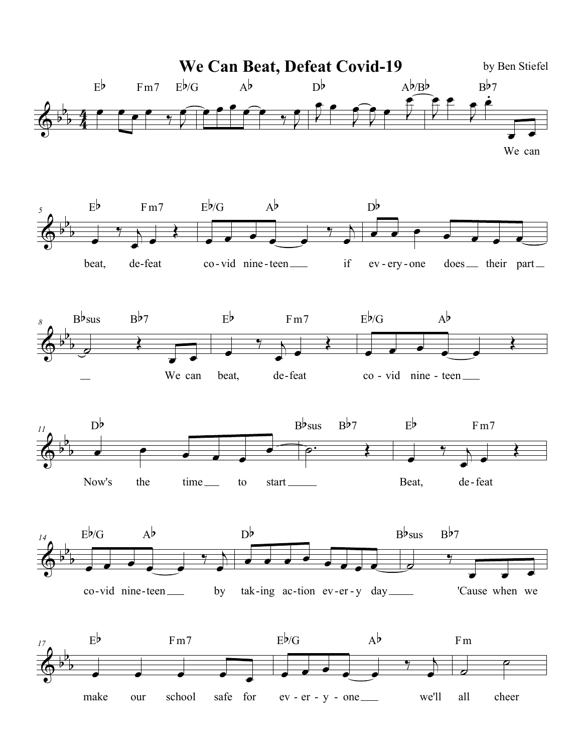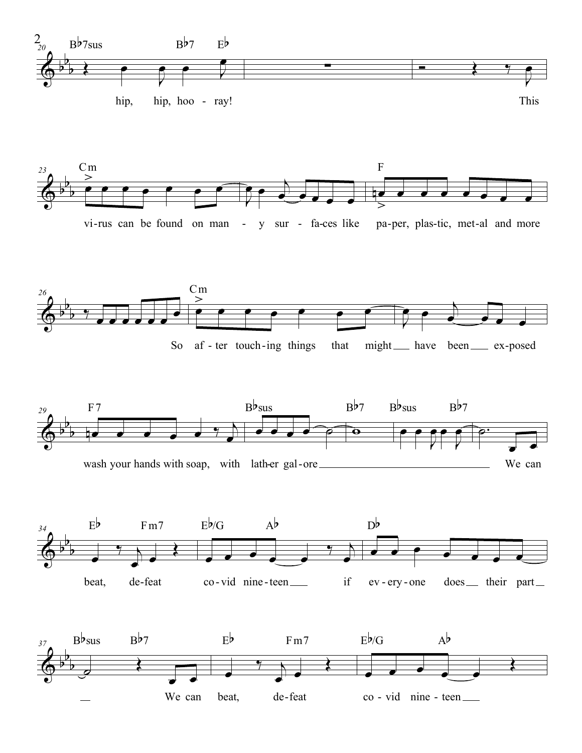





So af - ter touch-ing things that might that might have been ex-posed





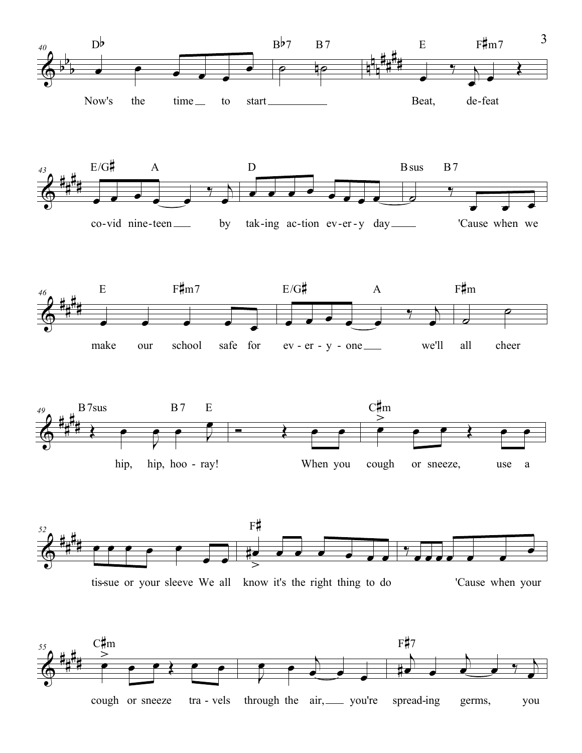











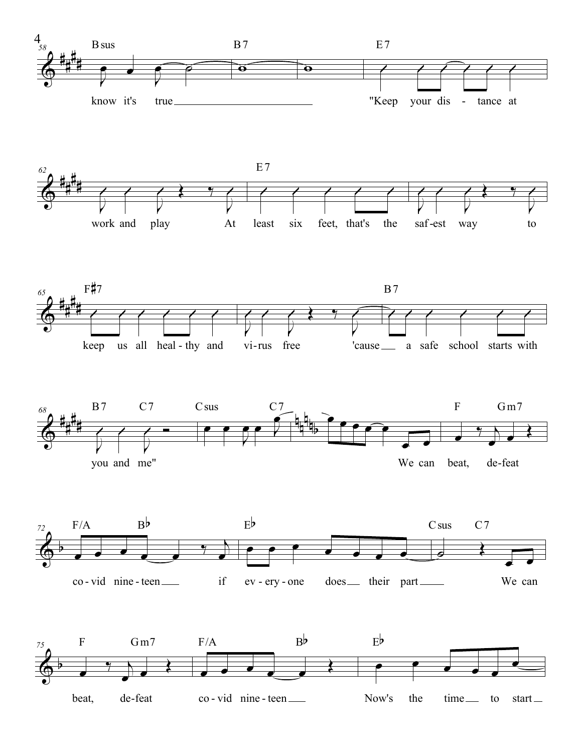